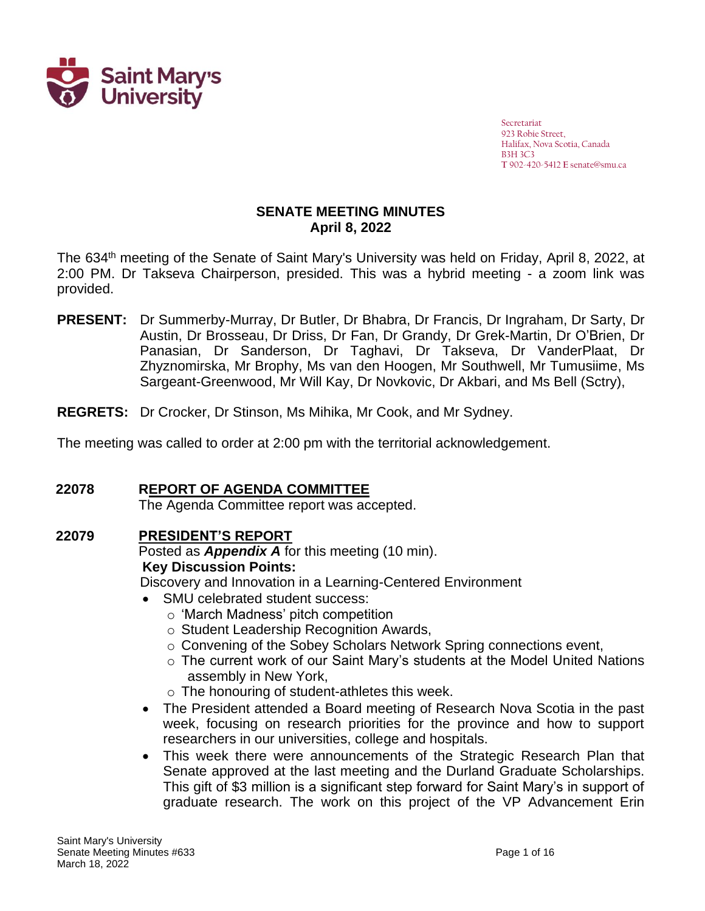

Secretariat 923 Robie Street, Halifax, Nova Scotia, Canada B3H 3C3 **T** 902-420-5412 **E** senate@smu.ca

### **SENATE MEETING MINUTES April 8, 2022**

The 634<sup>th</sup> meeting of the Senate of Saint Mary's University was held on Friday, April 8, 2022, at 2:00 PM. Dr Takseva Chairperson, presided. This was a hybrid meeting - a zoom link was provided.

- PRESENT: Dr Summerby-Murray, Dr Butler, Dr Bhabra, Dr Francis, Dr Ingraham, Dr Sarty, Dr Austin, Dr Brosseau, Dr Driss, Dr Fan, Dr Grandy, Dr Grek-Martin, Dr O'Brien, Dr Panasian, Dr Sanderson, Dr Taghavi, Dr Takseva, Dr VanderPlaat, Dr Zhyznomirska, Mr Brophy, Ms van den Hoogen, Mr Southwell, Mr Tumusiime, Ms Sargeant-Greenwood, Mr Will Kay, Dr Novkovic, Dr Akbari, and Ms Bell (Sctry), Ingranam, Dr
- **REGRETS:** Dr Crocker, Dr Stinson, Ms Mihika, Mr Cook, and Mr Sydney.

The meeting was called to order at 2:00 pm with the territorial acknowledgement.

# **22078 REPORT OF AGENDA COMMITTEE**

The Agenda Committee report was accepted.

# **22079 PRESIDENT'S REPORT**

Posted as *Appendix A* for this meeting (10 min). **Key Discussion Points:**

Discovery and Innovation in a Learning-Centered Environment

- SMU celebrated student success:
	- o 'March Madness' pitch competition
	- o Student Leadership Recognition Awards,
	- o Convening of the Sobey Scholars Network Spring connections event,
	- o The current work of our Saint Mary's students at the Model United Nations assembly in New York,
	- o The honouring of student-athletes this week.
- The President attended a Board meeting of Research Nova Scotia in the past week, focusing on research priorities for the province and how to support researchers in our universities, college and hospitals.
- This week there were announcements of the Strategic Research Plan that Senate approved at the last meeting and the Durland Graduate Scholarships. This gift of \$3 million is a significant step forward for Saint Mary's in support of graduate research. The work on this project of the VP Advancement Erin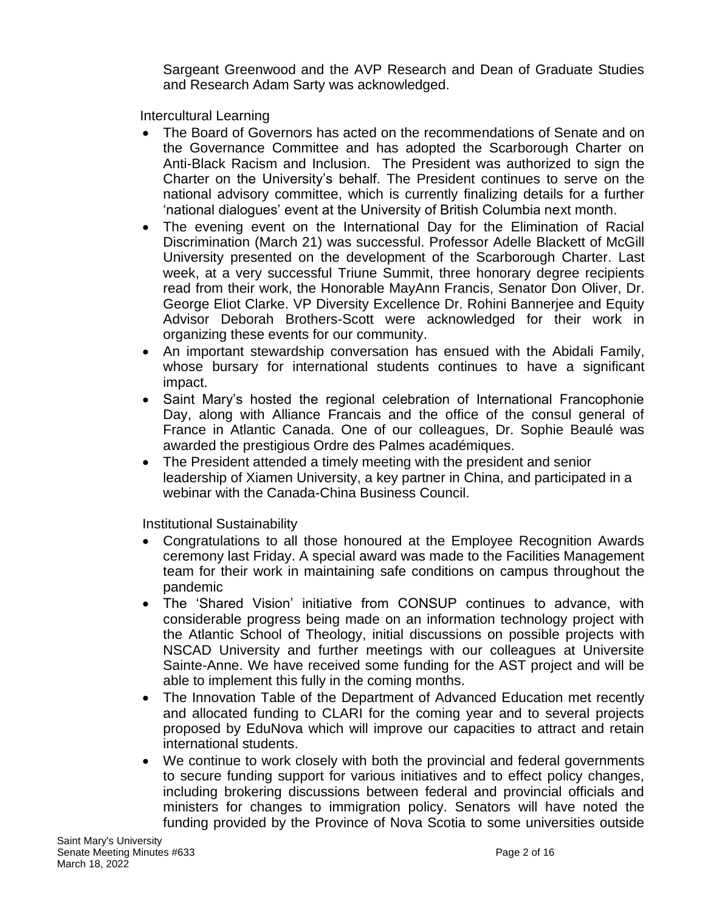Sargeant Greenwood and the AVP Research and Dean of Graduate Studies and Research Adam Sarty was acknowledged.

Intercultural Learning

- The Board of Governors has acted on the recommendations of Senate and on the Governance Committee and has adopted the Scarborough Charter on Anti-Black Racism and Inclusion. The President was authorized to sign the Charter on the University's behalf. The President continues to serve on the national advisory committee, which is currently finalizing details for a further 'national dialogues' event at the University of British Columbia next month.
- The evening event on the International Day for the Elimination of Racial Discrimination (March 21) was successful. Professor Adelle Blackett of McGill University presented on the development of the Scarborough Charter. Last week, at a very successful Triune Summit, three honorary degree recipients read from their work, the Honorable MayAnn Francis, Senator Don Oliver, Dr. George Eliot Clarke. VP Diversity Excellence Dr. Rohini Bannerjee and Equity Advisor Deborah Brothers-Scott were acknowledged for their work in organizing these events for our community.
- An important stewardship conversation has ensued with the Abidali Family, whose bursary for international students continues to have a significant impact.
- Saint Mary's hosted the regional celebration of International Francophonie Day, along with Alliance Francais and the office of the consul general of France in Atlantic Canada. One of our colleagues, Dr. Sophie Beaulé was awarded the prestigious Ordre des Palmes académiques.
- The President attended a timely meeting with the president and senior leadership of Xiamen University, a key partner in China, and participated in a webinar with the Canada-China Business Council.

Institutional Sustainability

- Congratulations to all those honoured at the Employee Recognition Awards ceremony last Friday. A special award was made to the Facilities Management team for their work in maintaining safe conditions on campus throughout the pandemic
- The 'Shared Vision' initiative from CONSUP continues to advance, with considerable progress being made on an information technology project with the Atlantic School of Theology, initial discussions on possible projects with NSCAD University and further meetings with our colleagues at Universite Sainte-Anne. We have received some funding for the AST project and will be able to implement this fully in the coming months.
- The Innovation Table of the Department of Advanced Education met recently and allocated funding to CLARI for the coming year and to several projects proposed by EduNova which will improve our capacities to attract and retain international students.
- We continue to work closely with both the provincial and federal governments to secure funding support for various initiatives and to effect policy changes, including brokering discussions between federal and provincial officials and ministers for changes to immigration policy. Senators will have noted the funding provided by the Province of Nova Scotia to some universities outside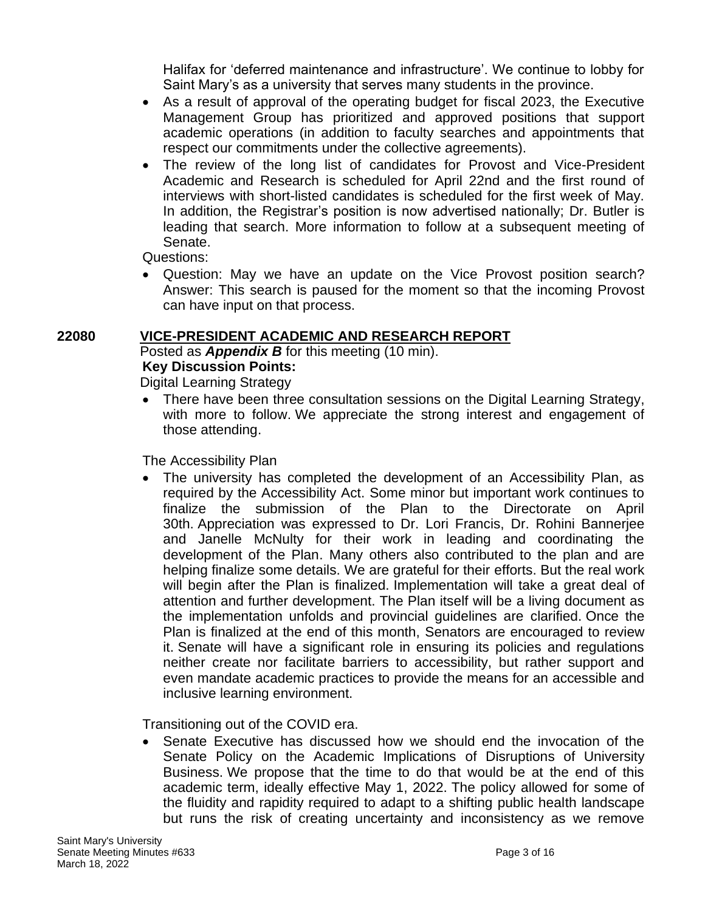Halifax for 'deferred maintenance and infrastructure'. We continue to lobby for Saint Mary's as a university that serves many students in the province.

- As a result of approval of the operating budget for fiscal 2023, the Executive Management Group has prioritized and approved positions that support academic operations (in addition to faculty searches and appointments that respect our commitments under the collective agreements).
- The review of the long list of candidates for Provost and Vice-President Academic and Research is scheduled for April 22nd and the first round of interviews with short-listed candidates is scheduled for the first week of May. In addition, the Registrar's position is now advertised nationally; Dr. Butler is leading that search. More information to follow at a subsequent meeting of Senate.

Questions:

• Question: May we have an update on the Vice Provost position search? Answer: This search is paused for the moment so that the incoming Provost can have input on that process.

# **22080 VICE-PRESIDENT ACADEMIC AND RESEARCH REPORT**

Posted as *Appendix B* for this meeting (10 min). **Key Discussion Points:**

Digital Learning Strategy

• There have been three consultation sessions on the Digital Learning Strategy, with more to follow. We appreciate the strong interest and engagement of those attending.

The Accessibility Plan

• The university has completed the development of an Accessibility Plan, as required by the Accessibility Act. Some minor but important work continues to finalize the submission of the Plan to the Directorate on April 30th. Appreciation was expressed to Dr. Lori Francis, Dr. Rohini Bannerjee and Janelle McNulty for their work in leading and coordinating the development of the Plan. Many others also contributed to the plan and are helping finalize some details. We are grateful for their efforts. But the real work will begin after the Plan is finalized. Implementation will take a great deal of attention and further development. The Plan itself will be a living document as the implementation unfolds and provincial guidelines are clarified. Once the Plan is finalized at the end of this month, Senators are encouraged to review it. Senate will have a significant role in ensuring its policies and regulations neither create nor facilitate barriers to accessibility, but rather support and even mandate academic practices to provide the means for an accessible and inclusive learning environment.

Transitioning out of the COVID era.

• Senate Executive has discussed how we should end the invocation of the Senate Policy on the Academic Implications of Disruptions of University Business. We propose that the time to do that would be at the end of this academic term, ideally effective May 1, 2022. The policy allowed for some of the fluidity and rapidity required to adapt to a shifting public health landscape but runs the risk of creating uncertainty and inconsistency as we remove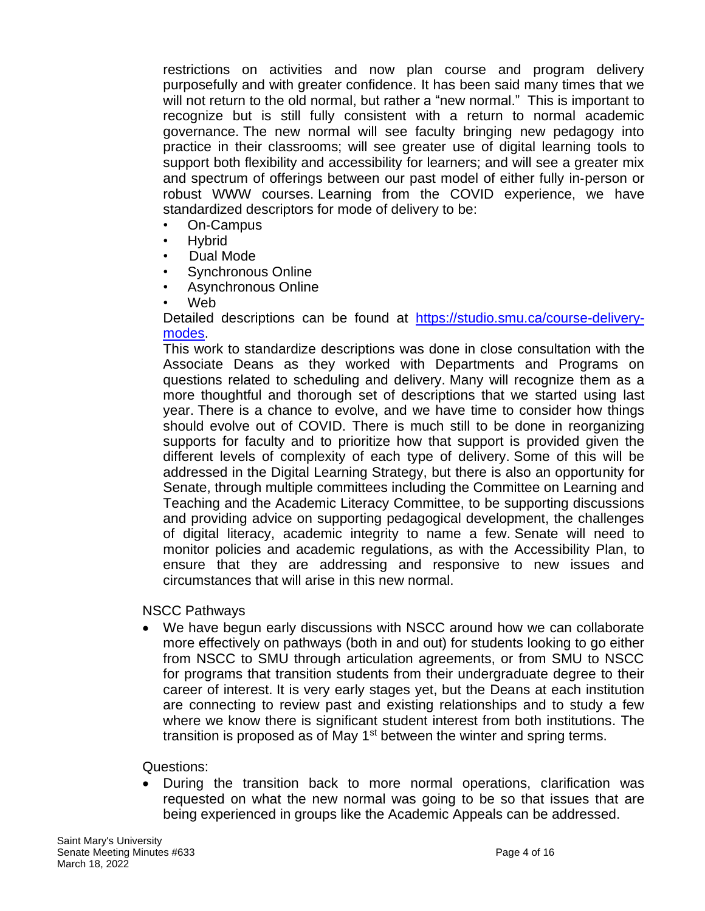restrictions on activities and now plan course and program delivery purposefully and with greater confidence. It has been said many times that we will not return to the old normal, but rather a "new normal." This is important to recognize but is still fully consistent with a return to normal academic governance. The new normal will see faculty bringing new pedagogy into practice in their classrooms; will see greater use of digital learning tools to support both flexibility and accessibility for learners; and will see a greater mix and spectrum of offerings between our past model of either fully in‐person or robust WWW courses. Learning from the COVID experience, we have standardized descriptors for mode of delivery to be:

- On‐Campus
- Hybrid
- Dual Mode
- Synchronous Online
- Asynchronous Online
- Web

Detailed descriptions can be found at [https://studio.smu.ca/course-delivery](https://studio.smu.ca/course-delivery-modes)[modes.](https://studio.smu.ca/course-delivery-modes)

This work to standardize descriptions was done in close consultation with the Associate Deans as they worked with Departments and Programs on questions related to scheduling and delivery. Many will recognize them as a more thoughtful and thorough set of descriptions that we started using last year. There is a chance to evolve, and we have time to consider how things should evolve out of COVID. There is much still to be done in reorganizing supports for faculty and to prioritize how that support is provided given the different levels of complexity of each type of delivery. Some of this will be addressed in the Digital Learning Strategy, but there is also an opportunity for Senate, through multiple committees including the Committee on Learning and Teaching and the Academic Literacy Committee, to be supporting discussions and providing advice on supporting pedagogical development, the challenges of digital literacy, academic integrity to name a few. Senate will need to monitor policies and academic regulations, as with the Accessibility Plan, to ensure that they are addressing and responsive to new issues and circumstances that will arise in this new normal.

NSCC Pathways

• We have begun early discussions with NSCC around how we can collaborate more effectively on pathways (both in and out) for students looking to go either from NSCC to SMU through articulation agreements, or from SMU to NSCC for programs that transition students from their undergraduate degree to their career of interest. It is very early stages yet, but the Deans at each institution are connecting to review past and existing relationships and to study a few where we know there is significant student interest from both institutions. The transition is proposed as of May  $1<sup>st</sup>$  between the winter and spring terms.

Questions:

• During the transition back to more normal operations, clarification was requested on what the new normal was going to be so that issues that are being experienced in groups like the Academic Appeals can be addressed.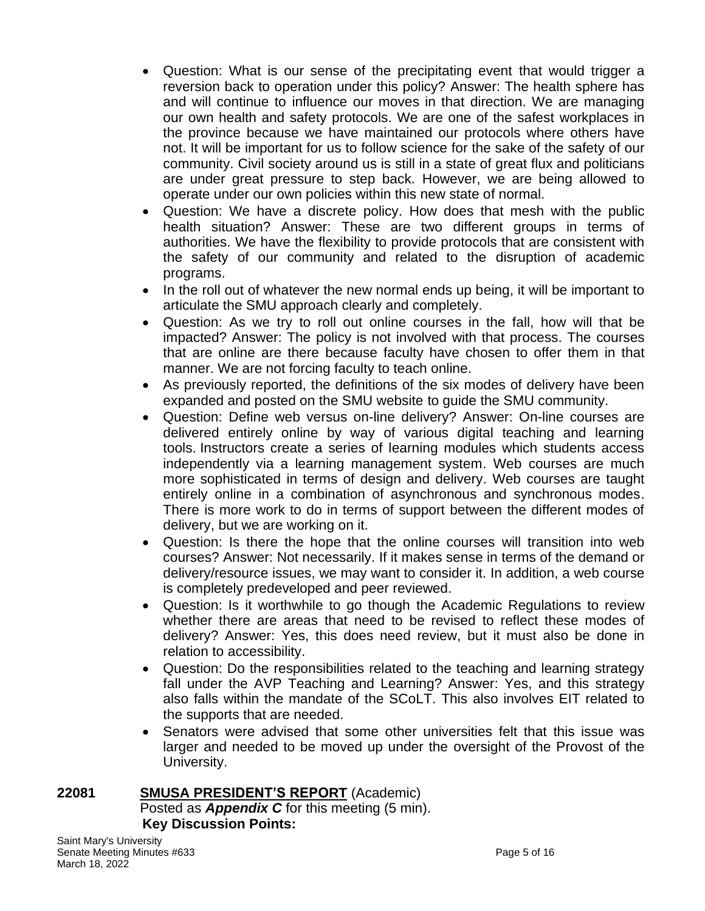- Question: What is our sense of the precipitating event that would trigger a reversion back to operation under this policy? Answer: The health sphere has and will continue to influence our moves in that direction. We are managing our own health and safety protocols. We are one of the safest workplaces in the province because we have maintained our protocols where others have not. It will be important for us to follow science for the sake of the safety of our community. Civil society around us is still in a state of great flux and politicians are under great pressure to step back. However, we are being allowed to operate under our own policies within this new state of normal.
- Question: We have a discrete policy. How does that mesh with the public health situation? Answer: These are two different groups in terms of authorities. We have the flexibility to provide protocols that are consistent with the safety of our community and related to the disruption of academic programs.
- In the roll out of whatever the new normal ends up being, it will be important to articulate the SMU approach clearly and completely.
- Question: As we try to roll out online courses in the fall, how will that be impacted? Answer: The policy is not involved with that process. The courses that are online are there because faculty have chosen to offer them in that manner. We are not forcing faculty to teach online.
- As previously reported, the definitions of the six modes of delivery have been expanded and posted on the SMU website to guide the SMU community.
- Question: Define web versus on-line delivery? Answer: On-line courses are delivered entirely online by way of various digital teaching and learning tools. Instructors create a series of learning modules which students access independently via a learning management system. Web courses are much more sophisticated in terms of design and delivery. Web courses are taught entirely online in a combination of asynchronous and synchronous modes. There is more work to do in terms of support between the different modes of delivery, but we are working on it.
- Question: Is there the hope that the online courses will transition into web courses? Answer: Not necessarily. If it makes sense in terms of the demand or delivery/resource issues, we may want to consider it. In addition, a web course is completely predeveloped and peer reviewed.
- Question: Is it worthwhile to go though the Academic Regulations to review whether there are areas that need to be revised to reflect these modes of delivery? Answer: Yes, this does need review, but it must also be done in relation to accessibility.
- Question: Do the responsibilities related to the teaching and learning strategy fall under the AVP Teaching and Learning? Answer: Yes, and this strategy also falls within the mandate of the SCoLT. This also involves EIT related to the supports that are needed.
- Senators were advised that some other universities felt that this issue was larger and needed to be moved up under the oversight of the Provost of the University.

#### **22081 SMUSA PRESIDENT'S REPORT** (Academic) Posted as *Appendix C* for this meeting (5 min). **Key Discussion Points:**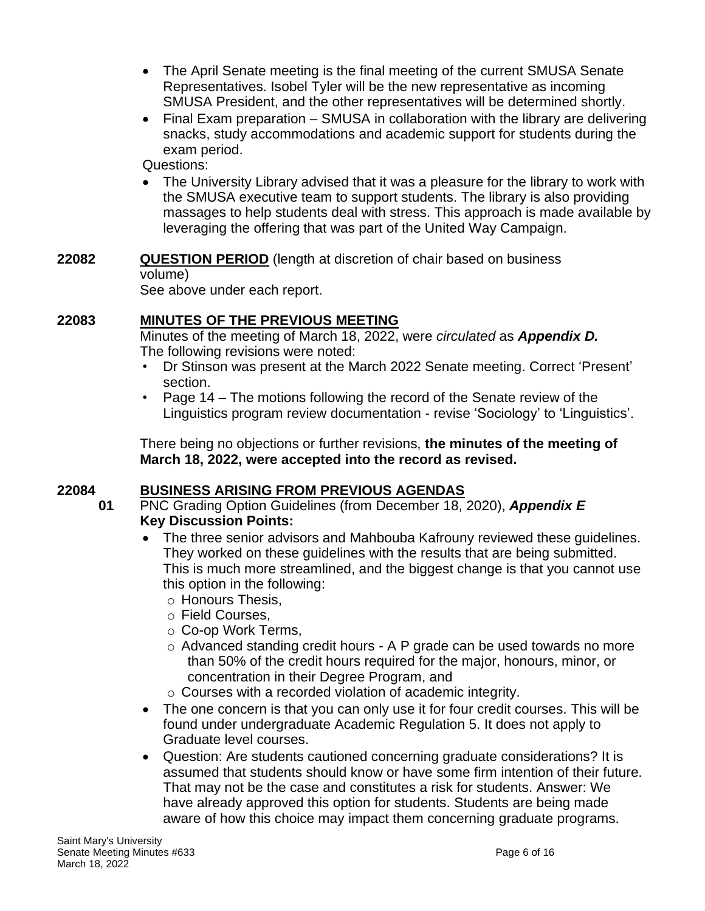- The April Senate meeting is the final meeting of the current SMUSA Senate Representatives. Isobel Tyler will be the new representative as incoming SMUSA President, and the other representatives will be determined shortly.
- Final Exam preparation SMUSA in collaboration with the library are delivering snacks, study accommodations and academic support for students during the exam period.

Questions:

• The University Library advised that it was a pleasure for the library to work with the SMUSA executive team to support students. The library is also providing massages to help students deal with stress. This approach is made available by leveraging the offering that was part of the United Way Campaign.

# **22082 QUESTION PERIOD** (length at discretion of chair based on business volume)

See above under each report.

# **22083 MINUTES OF THE PREVIOUS MEETING**

Minutes of the meeting of March 18, 2022, were *circulated* as *Appendix D.* The following revisions were noted:

- Dr Stinson was present at the March 2022 Senate meeting. Correct 'Present' section.
- Page 14 The motions following the record of the Senate review of the Linguistics program review documentation - revise 'Sociology' to 'Linguistics'.

There being no objections or further revisions, **the minutes of the meeting of March 18, 2022, were accepted into the record as revised.**

# **22084 BUSINESS ARISING FROM PREVIOUS AGENDAS**

**01** PNC Grading Option Guidelines (from December 18, 2020), *Appendix E* **Key Discussion Points:**

- The three senior advisors and Mahbouba Kafrouny reviewed these guidelines. They worked on these guidelines with the results that are being submitted. This is much more streamlined, and the biggest change is that you cannot use this option in the following:
	- o Honours Thesis,
	- o Field Courses,
	- o Co-op Work Terms,
	- o Advanced standing credit hours A P grade can be used towards no more than 50% of the credit hours required for the major, honours, minor, or concentration in their Degree Program, and
	- o Courses with a recorded violation of academic integrity.
- The one concern is that you can only use it for four credit courses. This will be found under undergraduate Academic Regulation 5. It does not apply to Graduate level courses.
- Question: Are students cautioned concerning graduate considerations? It is assumed that students should know or have some firm intention of their future. That may not be the case and constitutes a risk for students. Answer: We have already approved this option for students. Students are being made aware of how this choice may impact them concerning graduate programs.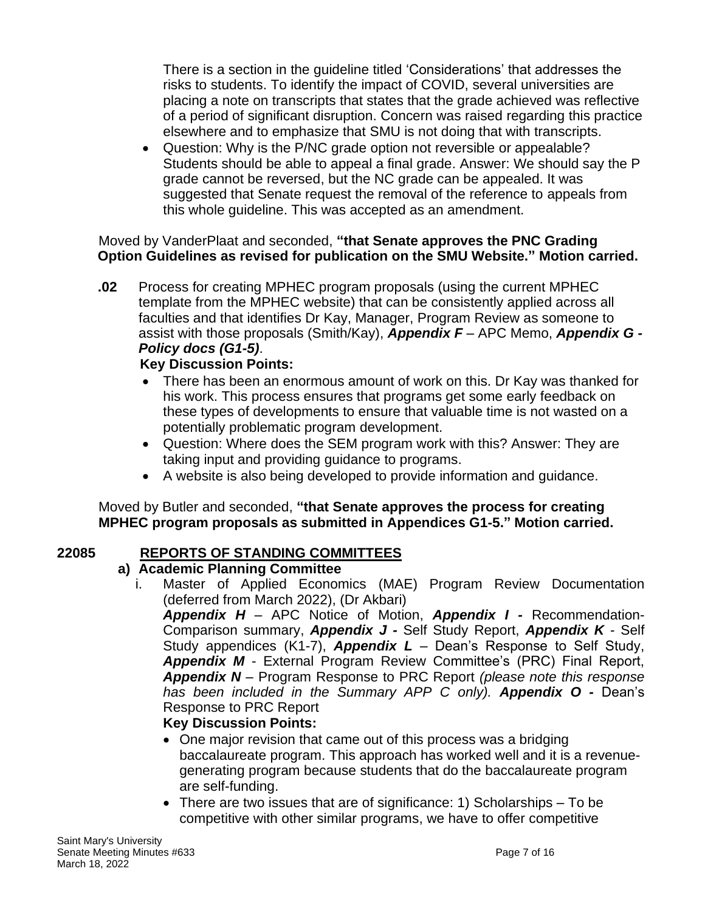There is a section in the guideline titled 'Considerations' that addresses the risks to students. To identify the impact of COVID, several universities are placing a note on transcripts that states that the grade achieved was reflective of a period of significant disruption. Concern was raised regarding this practice elsewhere and to emphasize that SMU is not doing that with transcripts.

• Question: Why is the P/NC grade option not reversible or appealable? Students should be able to appeal a final grade. Answer: We should say the P grade cannot be reversed, but the NC grade can be appealed. It was suggested that Senate request the removal of the reference to appeals from this whole guideline. This was accepted as an amendment.

## Moved by VanderPlaat and seconded, **"that Senate approves the PNC Grading Option Guidelines as revised for publication on the SMU Website." Motion carried.**

**.02** Process for creating MPHEC program proposals (using the current MPHEC template from the MPHEC website) that can be consistently applied across all faculties and that identifies Dr Kay, Manager, Program Review as someone to assist with those proposals (Smith/Kay), *Appendix F* – APC Memo, *Appendix G - Policy docs (G1-5)*.

# **Key Discussion Points:**

- There has been an enormous amount of work on this. Dr Kay was thanked for his work. This process ensures that programs get some early feedback on these types of developments to ensure that valuable time is not wasted on a potentially problematic program development.
- Question: Where does the SEM program work with this? Answer: They are taking input and providing guidance to programs.
- A website is also being developed to provide information and guidance.

Moved by Butler and seconded, **"that Senate approves the process for creating MPHEC program proposals as submitted in Appendices G1-5." Motion carried.**

# **22085 REPORTS OF STANDING COMMITTEES**

# **a) Academic Planning Committee**

i. Master of Applied Economics (MAE) Program Review Documentation (deferred from March 2022), (Dr Akbari)

*Appendix H* – APC Notice of Motion, *Appendix I -* Recommendation-Comparison summary, *Appendix J -* Self Study Report, *Appendix K* - Self Study appendices (K1-7), *Appendix L* – Dean's Response to Self Study, *Appendix M* - External Program Review Committee's (PRC) Final Report, *Appendix N* – Program Response to PRC Report *(please note this response has been included in the Summary APP C only). Appendix O -* Dean's Response to PRC Report

# **Key Discussion Points:**

- One major revision that came out of this process was a bridging baccalaureate program. This approach has worked well and it is a revenuegenerating program because students that do the baccalaureate program are self-funding.
- There are two issues that are of significance: 1) Scholarships To be competitive with other similar programs, we have to offer competitive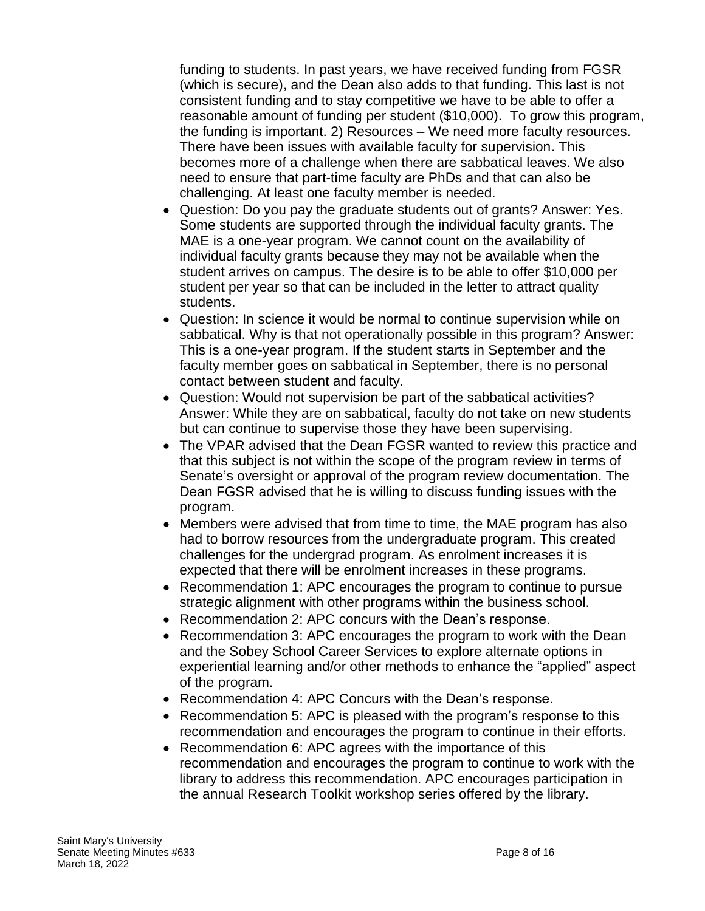funding to students. In past years, we have received funding from FGSR (which is secure), and the Dean also adds to that funding. This last is not consistent funding and to stay competitive we have to be able to offer a reasonable amount of funding per student (\$10,000). To grow this program, the funding is important. 2) Resources – We need more faculty resources. There have been issues with available faculty for supervision. This becomes more of a challenge when there are sabbatical leaves. We also need to ensure that part-time faculty are PhDs and that can also be challenging. At least one faculty member is needed.

- Question: Do you pay the graduate students out of grants? Answer: Yes. Some students are supported through the individual faculty grants. The MAE is a one-year program. We cannot count on the availability of individual faculty grants because they may not be available when the student arrives on campus. The desire is to be able to offer \$10,000 per student per year so that can be included in the letter to attract quality students.
- Question: In science it would be normal to continue supervision while on sabbatical. Why is that not operationally possible in this program? Answer: This is a one-year program. If the student starts in September and the faculty member goes on sabbatical in September, there is no personal contact between student and faculty.
- Question: Would not supervision be part of the sabbatical activities? Answer: While they are on sabbatical, faculty do not take on new students but can continue to supervise those they have been supervising.
- The VPAR advised that the Dean FGSR wanted to review this practice and that this subject is not within the scope of the program review in terms of Senate's oversight or approval of the program review documentation. The Dean FGSR advised that he is willing to discuss funding issues with the program.
- Members were advised that from time to time, the MAE program has also had to borrow resources from the undergraduate program. This created challenges for the undergrad program. As enrolment increases it is expected that there will be enrolment increases in these programs.
- Recommendation 1: APC encourages the program to continue to pursue strategic alignment with other programs within the business school.
- Recommendation 2: APC concurs with the Dean's response.
- Recommendation 3: APC encourages the program to work with the Dean and the Sobey School Career Services to explore alternate options in experiential learning and/or other methods to enhance the "applied" aspect of the program.
- Recommendation 4: APC Concurs with the Dean's response.
- Recommendation 5: APC is pleased with the program's response to this recommendation and encourages the program to continue in their efforts.
- Recommendation 6: APC agrees with the importance of this recommendation and encourages the program to continue to work with the library to address this recommendation. APC encourages participation in the annual Research Toolkit workshop series offered by the library.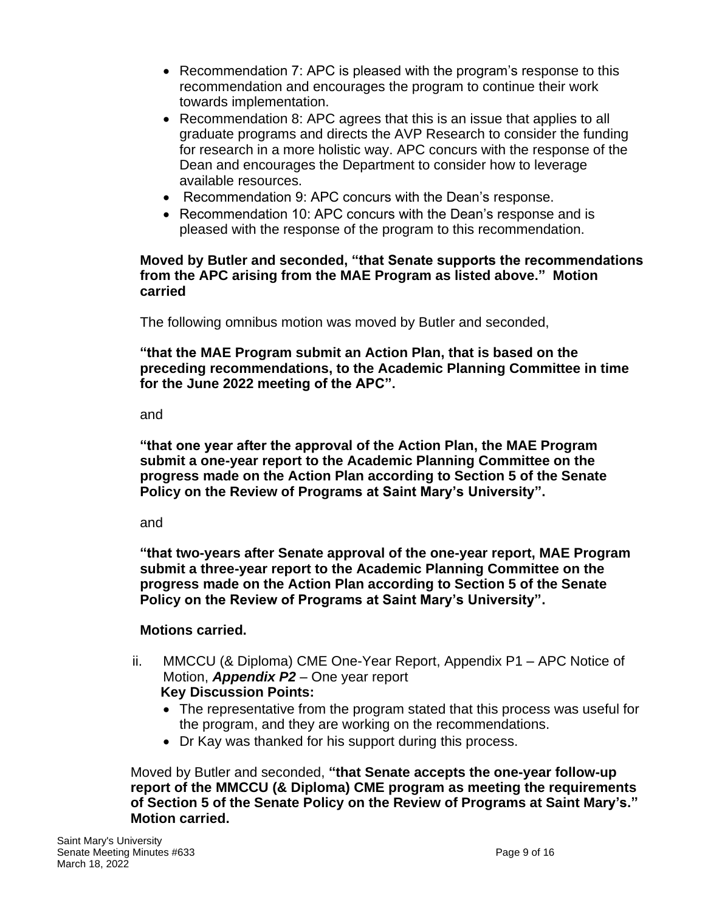- Recommendation 7: APC is pleased with the program's response to this recommendation and encourages the program to continue their work towards implementation.
- Recommendation 8: APC agrees that this is an issue that applies to all graduate programs and directs the AVP Research to consider the funding for research in a more holistic way. APC concurs with the response of the Dean and encourages the Department to consider how to leverage available resources.
- Recommendation 9: APC concurs with the Dean's response.
- Recommendation 10: APC concurs with the Dean's response and is pleased with the response of the program to this recommendation.

#### **Moved by Butler and seconded, "that Senate supports the recommendations from the APC arising from the MAE Program as listed above." Motion carried**

The following omnibus motion was moved by Butler and seconded,

**"that the MAE Program submit an Action Plan, that is based on the preceding recommendations, to the Academic Planning Committee in time for the June 2022 meeting of the APC".** 

and

**"that one year after the approval of the Action Plan, the MAE Program submit a one-year report to the Academic Planning Committee on the progress made on the Action Plan according to Section 5 of the Senate Policy on the Review of Programs at Saint Mary's University".**

and

**"that two-years after Senate approval of the one-year report, MAE Program submit a three-year report to the Academic Planning Committee on the progress made on the Action Plan according to Section 5 of the Senate Policy on the Review of Programs at Saint Mary's University".**

# **Motions carried.**

- ii. MMCCU (& Diploma) CME One-Year Report, Appendix P1 APC Notice of Motion, *Appendix P2* – One year report **Key Discussion Points:**
	- The representative from the program stated that this process was useful for the program, and they are working on the recommendations.
	- Dr Kay was thanked for his support during this process.

Moved by Butler and seconded, **"that Senate accepts the one-year follow-up report of the MMCCU (& Diploma) CME program as meeting the requirements of Section 5 of the Senate Policy on the Review of Programs at Saint Mary's." Motion carried.**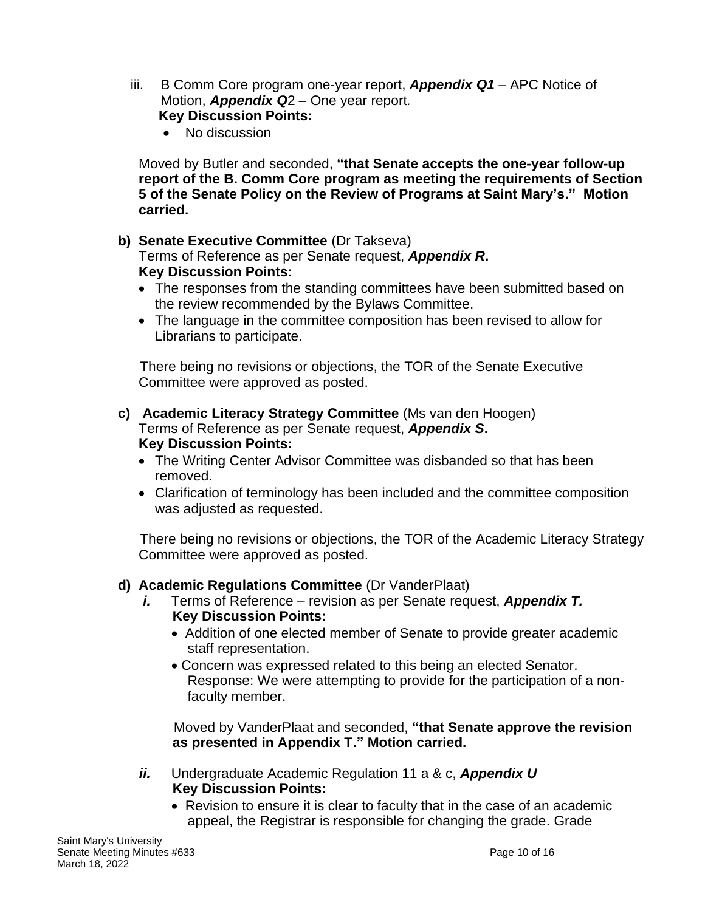- iii. B Comm Core program one-year report, *Appendix Q1*  APC Notice of Motion, *Appendix Q*2 *–* One year report*.* **Key Discussion Points:**
	- No discussion

Moved by Butler and seconded, **"that Senate accepts the one-year follow-up report of the B. Comm Core program as meeting the requirements of Section 5 of the Senate Policy on the Review of Programs at Saint Mary's." Motion carried.**

## **b) Senate Executive Committee** (Dr Takseva)

Terms of Reference as per Senate request, *Appendix R***. Key Discussion Points:**

- The responses from the standing committees have been submitted based on the review recommended by the Bylaws Committee.
- The language in the committee composition has been revised to allow for Librarians to participate.

There being no revisions or objections, the TOR of the Senate Executive Committee were approved as posted.

- **c) Academic Literacy Strategy Committee** (Ms van den Hoogen) Terms of Reference as per Senate request, *Appendix S***. Key Discussion Points:**
	- The Writing Center Advisor Committee was disbanded so that has been removed.
	- Clarification of terminology has been included and the committee composition was adjusted as requested.

There being no revisions or objections, the TOR of the Academic Literacy Strategy Committee were approved as posted.

### **d) Academic Regulations Committee** (Dr VanderPlaat)

- *i.* Terms of Reference revision as per Senate request, *Appendix T.* **Key Discussion Points:**
	- Addition of one elected member of Senate to provide greater academic staff representation.
	- Concern was expressed related to this being an elected Senator. Response: We were attempting to provide for the participation of a nonfaculty member.

Moved by VanderPlaat and seconded, **"that Senate approve the revision as presented in Appendix T." Motion carried.**

- *ii.* Undergraduate Academic Regulation 11 a & c, *Appendix U* **Key Discussion Points:**
	- Revision to ensure it is clear to faculty that in the case of an academic appeal, the Registrar is responsible for changing the grade. Grade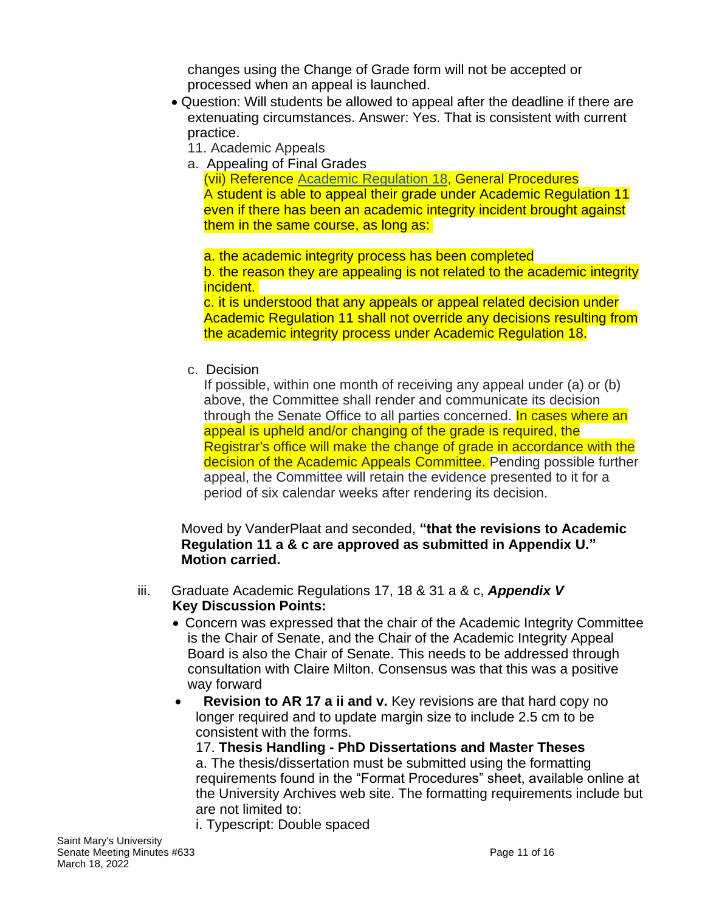changes using the Change of Grade form will not be accepted or processed when an appeal is launched.

- Question: Will students be allowed to appeal after the deadline if there are extenuating circumstances. Answer: Yes. That is consistent with current practice.
	- 11. Academic Appeals
	- a. Appealing of Final Grades

(vii) Reference Academic [Regulation](https://smu-ca-public.courseleaf.com/undergraduate/academic-integrity-student-responsibility/) 18, General Procedures A student is able to appeal their grade under Academic Regulation 11 even if there has been an academic integrity incident brought against them in the same course, as long as:

a. the academic integrity process has been completed b. the reason they are appealing is not related to the academic integrity incident.

c. it is understood that any appeals or appeal related decision under Academic Regulation 11 shall not override any decisions resulting from the academic integrity process under Academic Regulation 18.

c. Decision

If possible, within one month of receiving any appeal under (a) or (b) above, the Committee shall render and communicate its decision through the Senate Office to all parties concerned. In cases where an appeal is upheld and/or changing of the grade is required, the Registrar's office will make the change of grade in accordance with the decision of the Academic Appeals Committee. Pending possible further appeal, the Committee will retain the evidence presented to it for a period of six calendar weeks after rendering its decision.

#### Moved by VanderPlaat and seconded, **"that the revisions to Academic Regulation 11 a & c are approved as submitted in Appendix U." Motion carried.**

- iii. Graduate Academic Regulations 17, 18 & 31 a & c, *Appendix V* **Key Discussion Points:**
	- Concern was expressed that the chair of the Academic Integrity Committee is the Chair of Senate, and the Chair of the Academic Integrity Appeal Board is also the Chair of Senate. This needs to be addressed through consultation with Claire Milton. Consensus was that this was a positive way forward
	- • **Revision to AR 17 a ii and v.** Key revisions are that hard copy no longer required and to update margin size to include 2.5 cm to be consistent with the forms.

17. **Thesis Handling - PhD Dissertations and Master Theses** a. The thesis/dissertation must be submitted using the formatting requirements found in the "Format Procedures" sheet, available online at the University Archives web site. The formatting requirements include but are not limited to:

i. Typescript: Double spaced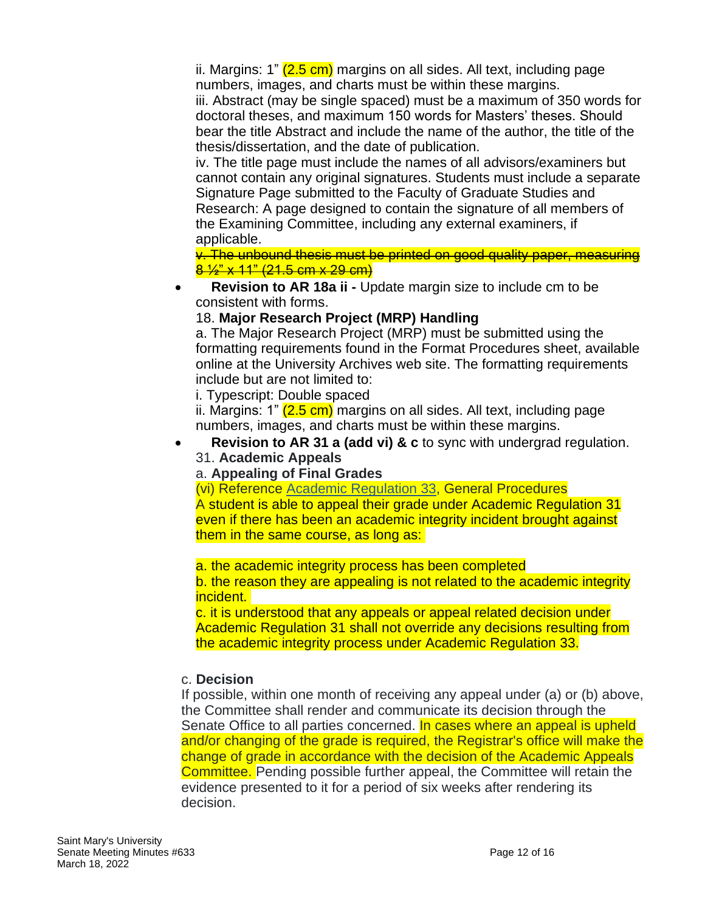ii. Margins: 1" (2.5 cm) margins on all sides. All text, including page numbers, images, and charts must be within these margins. iii. Abstract (may be single spaced) must be a maximum of 350 words for doctoral theses, and maximum 150 words for Masters' theses. Should bear the title Abstract and include the name of the author, the title of the thesis/dissertation, and the date of publication.

iv. The title page must include the names of all advisors/examiners but cannot contain any original signatures. Students must include a separate Signature Page submitted to the Faculty of Graduate Studies and Research: A page designed to contain the signature of all members of the Examining Committee, including any external examiners, if applicable.

v. The unbound thesis must be printed on good quality paper, measuring 8  $\frac{1}{2}$  x 11" (21.5 cm x 29 cm)

• **Revision to AR 18a ii -** Update margin size to include cm to be consistent with forms.

## 18. **Major Research Project (MRP) Handling**

a. The Major Research Project (MRP) must be submitted using the formatting requirements found in the Format Procedures sheet, available online at the University Archives web site. The formatting requirements include but are not limited to:

i. Typescript: Double spaced

ii. Margins: 1" (2.5 cm) margins on all sides. All text, including page numbers, images, and charts must be within these margins.

• **Revision to AR 31 a (add vi) & c** to sync with undergrad regulation. 31. **Academic Appeals**

### a. **Appealing of Final Grades**

(vi) Reference Academic [Regulation](https://smu-ca-public.courseleaf.com/undergraduate/academic-integrity-student-responsibility/) 33, General Procedures A student is able to appeal their grade under Academic Regulation 31 even if there has been an academic integrity incident brought against them in the same course, as long as:

### a. the academic integrity process has been completed

b. the reason they are appealing is not related to the academic integrity incident.

c. it is understood that any appeals or appeal related decision under Academic Regulation 31 shall not override any decisions resulting from the academic integrity process under Academic Regulation 33.

### c. **Decision**

If possible, within one month of receiving any appeal under (a) or (b) above, the Committee shall render and communicate its decision through the Senate Office to all parties concerned. In cases where an appeal is upheld and/or changing of the grade is required, the Registrar's office will make the change of grade in accordance with the decision of the Academic Appeals Committee. Pending possible further appeal, the Committee will retain the evidence presented to it for a period of six weeks after rendering its decision.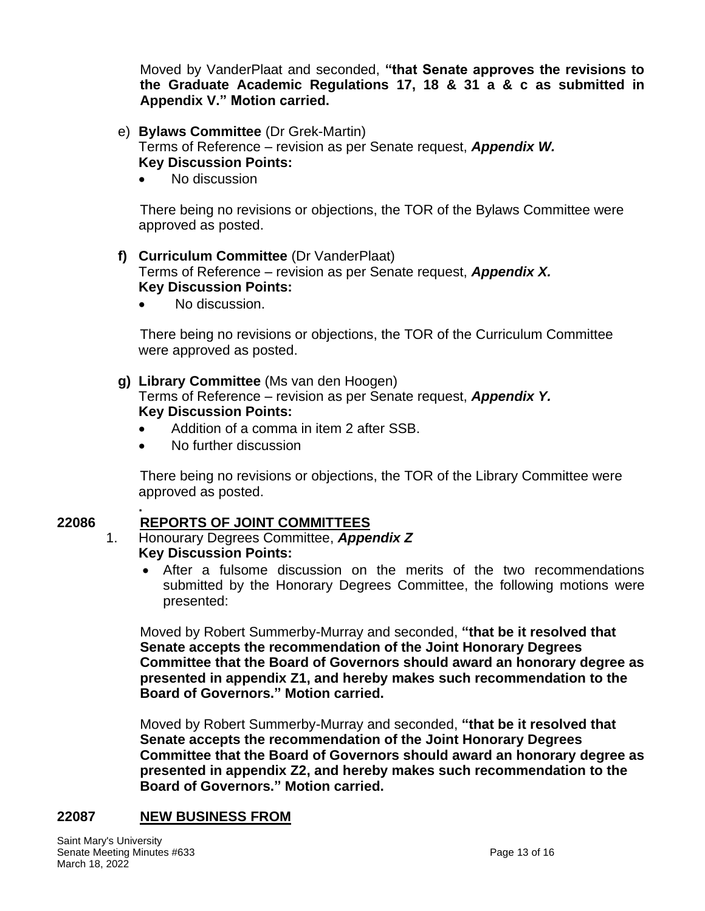Moved by VanderPlaat and seconded, **"that Senate approves the revisions to the Graduate Academic Regulations 17, 18 & 31 a & c as submitted in Appendix V." Motion carried.**

#### e) **Bylaws Committee** (Dr Grek-Martin) Terms of Reference – revision as per Senate request, *Appendix W.* **Key Discussion Points:**

• No discussion

There being no revisions or objections, the TOR of the Bylaws Committee were approved as posted.

#### **f) Curriculum Committee** (Dr VanderPlaat) Terms of Reference – revision as per Senate request, *Appendix X.* **Key Discussion Points:**

No discussion.

There being no revisions or objections, the TOR of the Curriculum Committee were approved as posted.

## **g) Library Committee** (Ms van den Hoogen)

Terms of Reference – revision as per Senate request, *Appendix Y.* **Key Discussion Points:**

- Addition of a comma in item 2 after SSB.
- No further discussion

There being no revisions or objections, the TOR of the Library Committee were approved as posted.

#### **. 22086 REPORTS OF JOINT COMMITTEES**

#### 1. Honourary Degrees Committee, *Appendix Z* **Key Discussion Points:**

• After a fulsome discussion on the merits of the two recommendations submitted by the Honorary Degrees Committee, the following motions were presented:

Moved by Robert Summerby-Murray and seconded, **"that be it resolved that Senate accepts the recommendation of the Joint Honorary Degrees Committee that the Board of Governors should award an honorary degree as presented in appendix Z1, and hereby makes such recommendation to the Board of Governors." Motion carried.**

Moved by Robert Summerby-Murray and seconded, **"that be it resolved that Senate accepts the recommendation of the Joint Honorary Degrees Committee that the Board of Governors should award an honorary degree as presented in appendix Z2, and hereby makes such recommendation to the Board of Governors." Motion carried.**

### **22087 NEW BUSINESS FROM**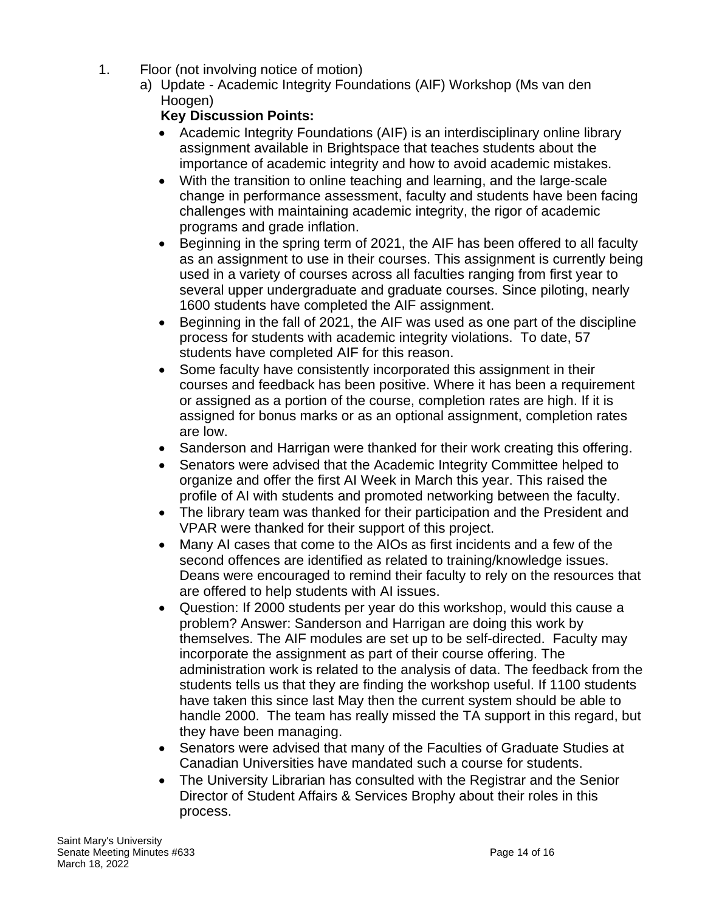- 1. Floor (not involving notice of motion)
	- a) Update Academic Integrity Foundations (AIF) Workshop (Ms van den Hoogen)

# **Key Discussion Points:**

- Academic Integrity Foundations (AIF) is an interdisciplinary online library assignment available in Brightspace that teaches students about the importance of academic integrity and how to avoid academic mistakes.
- With the transition to online teaching and learning, and the large-scale change in performance assessment, faculty and students have been facing challenges with maintaining academic integrity, the rigor of academic programs and grade inflation.
- Beginning in the spring term of 2021, the AIF has been offered to all faculty as an assignment to use in their courses. This assignment is currently being used in a variety of courses across all faculties ranging from first year to several upper undergraduate and graduate courses. Since piloting, nearly 1600 students have completed the AIF assignment.
- Beginning in the fall of 2021, the AIF was used as one part of the discipline process for students with academic integrity violations. To date, 57 students have completed AIF for this reason.
- Some faculty have consistently incorporated this assignment in their courses and feedback has been positive. Where it has been a requirement or assigned as a portion of the course, completion rates are high. If it is assigned for bonus marks or as an optional assignment, completion rates are low.
- Sanderson and Harrigan were thanked for their work creating this offering.
- Senators were advised that the Academic Integrity Committee helped to organize and offer the first AI Week in March this year. This raised the profile of AI with students and promoted networking between the faculty.
- The library team was thanked for their participation and the President and VPAR were thanked for their support of this project.
- Many AI cases that come to the AIOs as first incidents and a few of the second offences are identified as related to training/knowledge issues. Deans were encouraged to remind their faculty to rely on the resources that are offered to help students with AI issues.
- Question: If 2000 students per year do this workshop, would this cause a problem? Answer: Sanderson and Harrigan are doing this work by themselves. The AIF modules are set up to be self-directed. Faculty may incorporate the assignment as part of their course offering. The administration work is related to the analysis of data. The feedback from the students tells us that they are finding the workshop useful. If 1100 students have taken this since last May then the current system should be able to handle 2000. The team has really missed the TA support in this regard, but they have been managing.
- Senators were advised that many of the Faculties of Graduate Studies at Canadian Universities have mandated such a course for students.
- The University Librarian has consulted with the Registrar and the Senior Director of Student Affairs & Services Brophy about their roles in this process.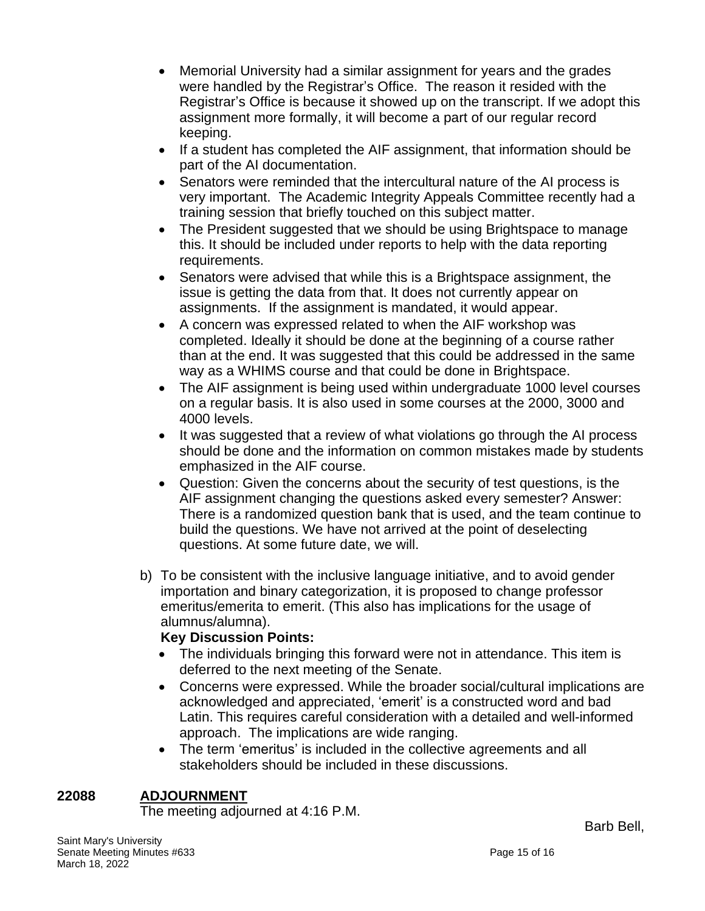- Memorial University had a similar assignment for years and the grades were handled by the Registrar's Office. The reason it resided with the Registrar's Office is because it showed up on the transcript. If we adopt this assignment more formally, it will become a part of our regular record keeping.
- If a student has completed the AIF assignment, that information should be part of the AI documentation.
- Senators were reminded that the intercultural nature of the AI process is very important. The Academic Integrity Appeals Committee recently had a training session that briefly touched on this subject matter.
- The President suggested that we should be using Brightspace to manage this. It should be included under reports to help with the data reporting requirements.
- Senators were advised that while this is a Brightspace assignment, the issue is getting the data from that. It does not currently appear on assignments. If the assignment is mandated, it would appear.
- A concern was expressed related to when the AIF workshop was completed. Ideally it should be done at the beginning of a course rather than at the end. It was suggested that this could be addressed in the same way as a WHIMS course and that could be done in Brightspace.
- The AIF assignment is being used within undergraduate 1000 level courses on a regular basis. It is also used in some courses at the 2000, 3000 and 4000 levels.
- It was suggested that a review of what violations go through the AI process should be done and the information on common mistakes made by students emphasized in the AIF course.
- Question: Given the concerns about the security of test questions, is the AIF assignment changing the questions asked every semester? Answer: There is a randomized question bank that is used, and the team continue to build the questions. We have not arrived at the point of deselecting questions. At some future date, we will.
- b) To be consistent with the inclusive language initiative, and to avoid gender importation and binary categorization, it is proposed to change professor emeritus/emerita to emerit. (This also has implications for the usage of alumnus/alumna).

# **Key Discussion Points:**

- The individuals bringing this forward were not in attendance. This item is deferred to the next meeting of the Senate.
- Concerns were expressed. While the broader social/cultural implications are acknowledged and appreciated, 'emerit' is a constructed word and bad Latin. This requires careful consideration with a detailed and well-informed approach. The implications are wide ranging.
- The term 'emeritus' is included in the collective agreements and all stakeholders should be included in these discussions.

# **22088 ADJOURNMENT**

The meeting adjourned at 4:16 P.M.

Saint Mary's University Senate Meeting Minutes #633 **Page 15 of 16** Page 15 of 16 March 18, 2022